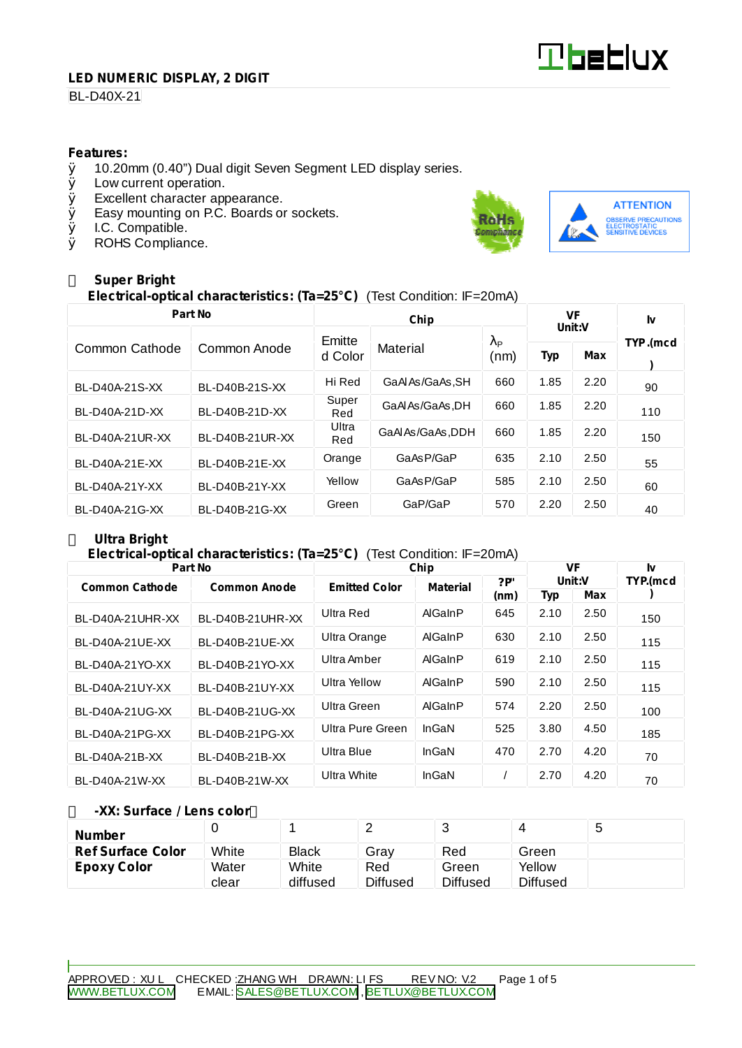# **Tbeblux**

#### **LED NUMERIC DISPLAY, 2 DIGIT**

## BL-D40X-21

#### **Features:**

- $\emptyset$  10.20mm (0.40") Dual digit Seven Segment LED display series.<br> $\emptyset$  Low current operation.
- Low current operation.
- Ø Excellent character appearance.
- Ø Easy mounting on P.C. Boards or sockets.
- Ø I.C. Compatible.<br>Ø ROHS Complian
- ROHS Compliance.



## **Super Bright**

**Electrical-optical characteristics: (Ta=25°C)** (Test Condition: IF=20mA)

| Part No         |                 |              | VF<br>Unit:V      |                        | I٧   |      |          |  |
|-----------------|-----------------|--------------|-------------------|------------------------|------|------|----------|--|
| Common Cathode  | Common Anode    | Emitte       | Material          | $\lambda_{\mathsf{P}}$ |      |      | TYP.(mcd |  |
|                 |                 | d Color      |                   | (nm)                   | Typ  | Max  |          |  |
| BL-D40A-21S-XX  | BL-D40B-21S-XX  | Hi Red       | GaAlAs/GaAs.SH    | 660                    | 1.85 | 2.20 | 90       |  |
| BL-D40A-21D-XX  | BL-D40B-21D-XX  | Super<br>Red | GaAlAs/GaAs.DH    | 660                    | 1.85 | 2.20 | 110      |  |
| BL-D40A-21UR-XX | BL-D40B-21UR-XX | Ultra<br>Red | GaAl As/GaAs, DDH | 660                    | 1.85 | 2.20 | 150      |  |
| BL-D40A-21E-XX  | BL-D40B-21E-XX  | Orange       | GaAsP/GaP         | 635                    | 2.10 | 2.50 | 55       |  |
| BL-D40A-21Y-XX  | BL-D40B-21Y-XX  | Yellow       | GaAsP/GaP         | 585                    | 2.10 | 2.50 | 60       |  |
| BL-D40A-21G-XX  | BL-D40B-21G-XX  | Green        | GaP/GaP           | 570                    | 2.20 | 2.50 | 40       |  |

## **Ultra Bright**

### **Electrical-optical characteristics: (Ta=25°C)** (Test Condition: IF=20mA)

| Part No               |                     | Chip                 | VF              |      | Iv     |      |          |
|-----------------------|---------------------|----------------------|-----------------|------|--------|------|----------|
| <b>Common Cathode</b> | <b>Common Anode</b> | <b>Emitted Color</b> | <b>Material</b> | ?P   | Unit:V |      | TYP.(mcd |
|                       |                     |                      |                 | (nm) | Typ    | Max  |          |
| BL-D40A-21UHR-XX      | BL-D40B-21UHR-XX    | Ultra Red            | AlGaInP         | 645  | 2.10   | 2.50 | 150      |
| BL-D40A-21UE-XX       | BL-D40B-21UE-XX     | Ultra Orange         | AlGaInP         | 630  | 2.10   | 2.50 | 115      |
| BL-D40A-21YO-XX       | BL-D40B-21YO-XX     | Ultra Amber          | AlGaInP         | 619  | 2.10   | 2.50 | 115      |
| BL-D40A-21UY-XX       | BL-D40B-21UY-XX     | Ultra Yellow         | AlGaInP         | 590  | 2.10   | 2.50 | 115      |
| BL-D40A-21UG-XX       | BL-D40B-21UG-XX     | Ultra Green          | AlGaInP         | 574  | 2.20   | 2.50 | 100      |
| BL-D40A-21PG-XX       | BL-D40B-21PG-XX     | Ultra Pure Green     | InGaN           | 525  | 3.80   | 4.50 | 185      |
| BL-D40A-21B-XX        | BL-D40B-21B-XX      | Ultra Blue           | InGaN           | 470  | 2.70   | 4.20 | 70       |
| BL-D40A-21W-XX        | BL-D40B-21W-XX      | Ultra White          | InGaN           |      | 2.70   | 4.20 | 70       |

#### **-XX: Surface / Lens color**

| <b>Number</b>            |       |          | -               |                 |                 | 5 |
|--------------------------|-------|----------|-----------------|-----------------|-----------------|---|
| <b>Ref Surface Color</b> | White | Black    | Grav            | Red             | Green           |   |
| <b>Epoxy Color</b>       | Water | White    | Red             | Green           | Yellow          |   |
|                          | clear | diffused | <b>Diffused</b> | <b>Diffused</b> | <b>Diffused</b> |   |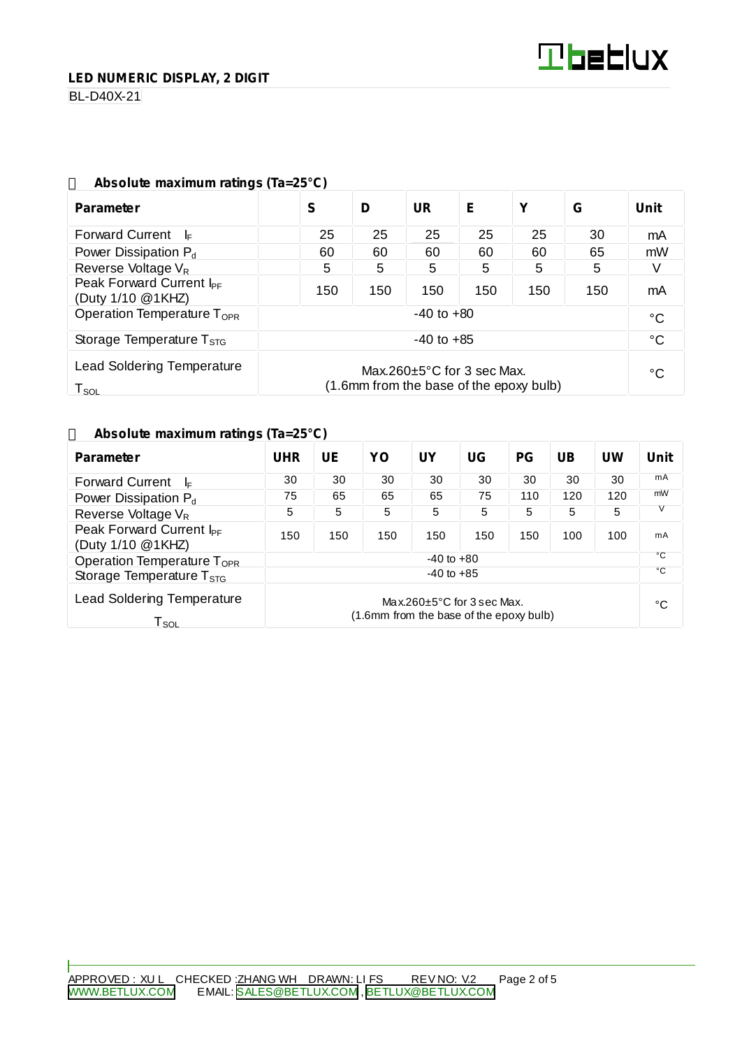BL-D40X-21

| ADSOIUTE MAXIMUM ratings (1a=25°C)                                                                                                |                |     |           |     |     |     |              |  |
|-----------------------------------------------------------------------------------------------------------------------------------|----------------|-----|-----------|-----|-----|-----|--------------|--|
| <b>Parameter</b>                                                                                                                  | S              | D   | <b>UR</b> | Е   | Υ   | G   | <b>Unit</b>  |  |
| <b>Forward Current</b><br>- l⊧                                                                                                    | 25             | 25  | 25        | 25  | 25  | 30  | mA           |  |
| Power Dissipation $P_d$                                                                                                           | 60             | 60  | 60        | 60  | 60  | 65  | mW           |  |
| Reverse Voltage $V_R$                                                                                                             | 5              | 5   | 5         | 5   | 5   | 5   | V            |  |
| Peak Forward Current I <sub>PF</sub><br>(Duty 1/10 @1KHZ)                                                                         | 150            | 150 | 150       | 150 | 150 | 150 | mA           |  |
| Operation Temperature T <sub>OPR</sub>                                                                                            | $-40$ to $+80$ |     |           |     |     |     | $^{\circ}$ C |  |
| Storage Temperature $T_{\text{STG}}$                                                                                              | $-40$ to $+85$ |     |           |     |     |     | °C           |  |
| <b>Lead Soldering Temperature</b><br>Max.260 $\pm$ 5°C for 3 sec Max.<br>(1.6mm from the base of the epoxy bulb)<br>$T_{\rm SOL}$ |                |     |           |     |     | °C  |              |  |

## **Absolute maximum ratings (Ta=25°C)**

#### **Absolute maximum ratings (Ta=25°C)**

| <b>Parameter</b>                                                 | <b>UHR</b>                                                                  | UE  | YO  | <b>UY</b> | UG  | <b>PG</b> | <b>UB</b> | UW  | <b>Unit</b>  |
|------------------------------------------------------------------|-----------------------------------------------------------------------------|-----|-----|-----------|-----|-----------|-----------|-----|--------------|
| <b>Forward Current</b><br>I⊧                                     | 30                                                                          | 30  | 30  | 30        | 30  | 30        | 30        | 30  | mA           |
| Power Dissipation P <sub>d</sub>                                 | 75                                                                          | 65  | 65  | 65        | 75  | 110       | 120       | 120 | mW           |
| Reverse Voltage V <sub>R</sub>                                   | 5                                                                           | 5   | 5   | 5         | 5   | 5         | 5         | 5   |              |
| Peak Forward Current I <sub>PF</sub><br>(Duty 1/10 @1KHZ)        | 150                                                                         | 150 | 150 | 150       | 150 | 150       | 100       | 100 | mA           |
| Operation Temperature T <sub>OPR</sub>                           | $-40$ to $+80$                                                              |     |     |           |     |           |           |     | °C           |
| Storage Temperature $T_{\rm STG}$                                | $-40$ to $+85$                                                              |     |     |           |     |           |           |     | $^{\circ}$ C |
| <b>Lead Soldering Temperature</b><br>$\mathsf{T}_{\mathsf{SOL}}$ | Max.260 $\pm$ 5°C for 3 sec Max.<br>(1.6mm from the base of the epoxy bulb) |     |     |           |     |           | °C        |     |              |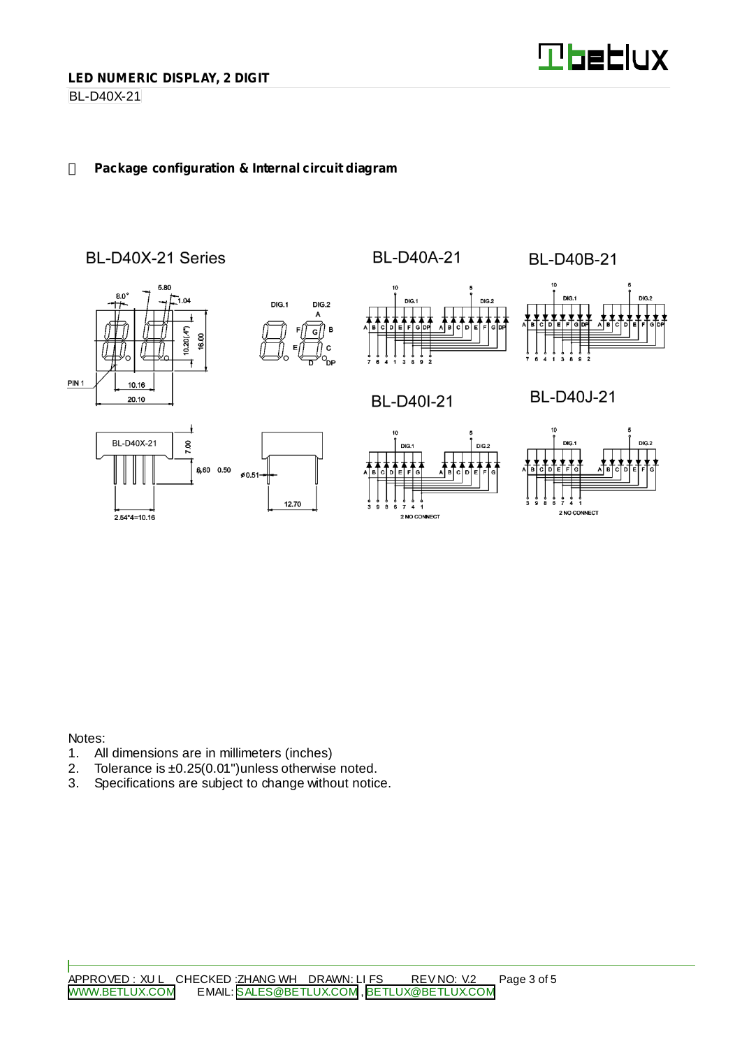

BL-D40X-21

## **Package configuration & Internal circuit diagram**



Notes:

- 1. All dimensions are in millimeters (inches)<br>2. Tolerance is  $\pm 0.25(0.01)$  unless otherwise
- 2. Tolerance is  $\pm 0.25(0.01)$  unless otherwise noted.<br>3. Specifications are subject to change without notic
- Specifications are subject to change without notice.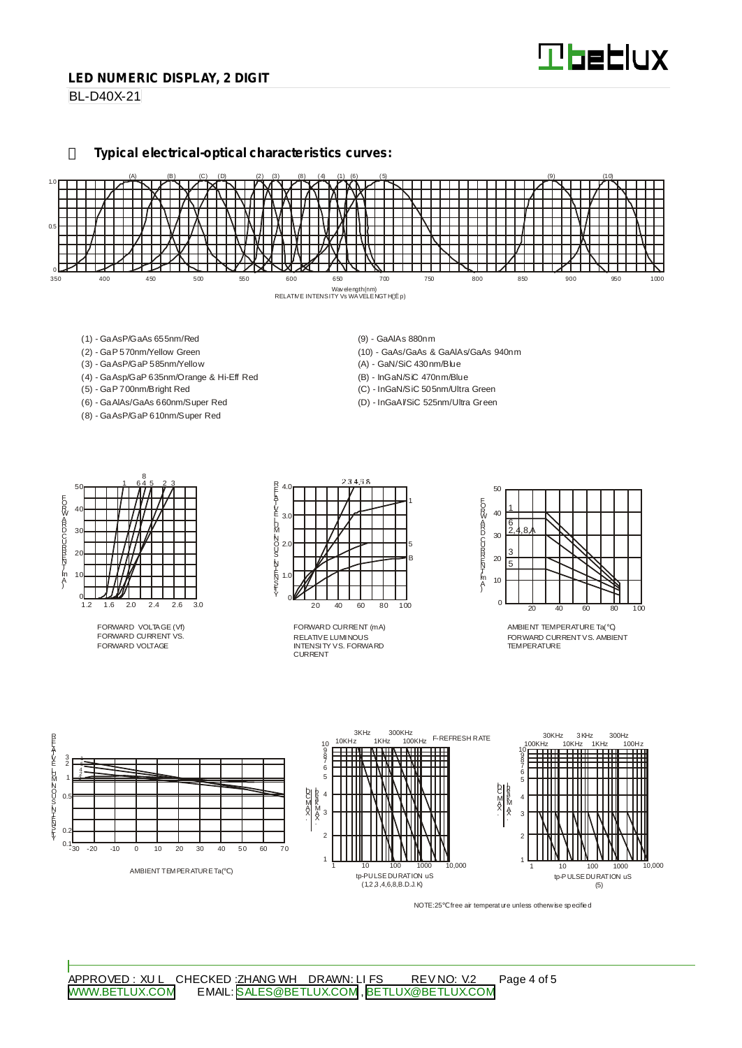#### **LED NUMERIC DISPLAY, 2 DIGIT**

**BL-D40X-21** 

**Typical electrical-optical characteristics curves:**



- (1) GaAsP/GaAs 655nm/Red
- (2) GaP 570nm/Yellow Green
- (3) GaAsP/GaP 585nm/Yellow
- (4) GaAsp/GaP 635nm/Orange & Hi-Eff Red
- (5) GaP 700nm/Bright Red
- (6) GaAlAs/GaAs 660nm/Super Red
- (8) GaAsP/GaP 610nm/Super Red
- (9) GaAlAs 880nm
- (10) GaAs/GaAs & GaAlAs/GaAs 940nm
- (A) GaN/SiC 430nm/Blue
- (B) InGaN/SiC 470nm/Blue
- (C) InGaN/SiC 505nm/Ultra Green
- (D) InGaAl/SiC 525nm/Ultra Green



FORWARD VOLTAGE (Vf) FORWARD CURRENT VS. FORWARD VOLTAGE



RELATIVE LUMINOUS INTENSITY VS. FORWARD CURRENT FORWARD CURRENT (mA)



AMBIENT TEMPERATURE Ta( ) FORWARD CURRENTVS. AMBIENT TEMPER ATLIRE



NOTE:25 free air temperature unless otherwise specified